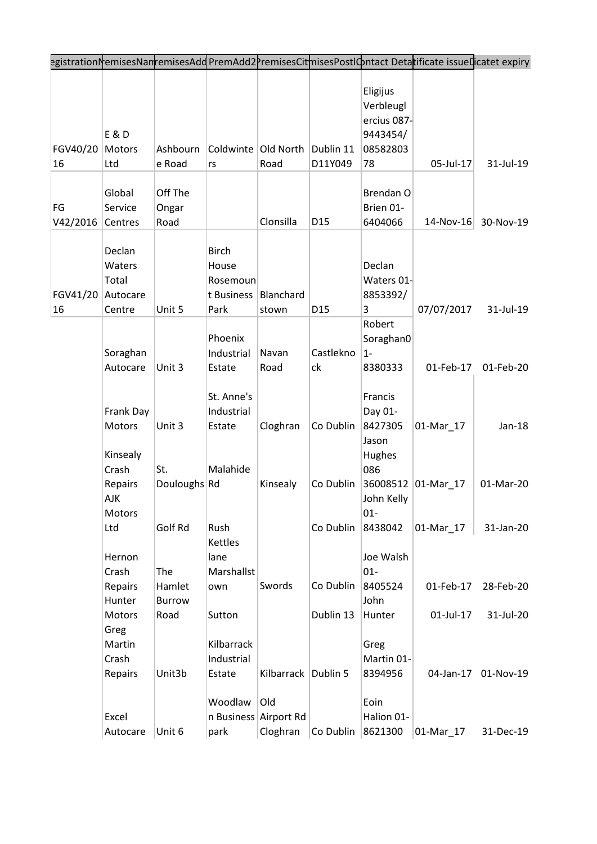| egistrationNemisesNanremisesAdd PremAdd2PremisesCitmisesPostIOntact Detatificate issueDicatet expiry                                                                                                                                   |                                  |
|----------------------------------------------------------------------------------------------------------------------------------------------------------------------------------------------------------------------------------------|----------------------------------|
| Eligijus<br>Verbleugl<br>ercius 087-<br>E & D<br>9443454/<br>FGV40/20<br>Ashbourn<br>Coldwinte Old North<br>Dublin 11<br>Motors<br>08582803<br>05-Jul-17<br>D11Y049<br>78<br>16<br>Ltd<br>e Road<br>Road<br>rs                         | 31-Jul-19                        |
| Global<br>Off The<br>Brendan O<br>FG<br>Service<br>Brien 01-<br>Ongar<br>Clonsilla<br>V42/2016<br>Road<br>D <sub>15</sub><br>Centres<br>6404066<br>$14$ -Nov-16                                                                        | 30-Nov-19                        |
| Declan<br><b>Birch</b><br>Declan<br>Waters<br>House<br>Total<br>Waters 01-<br>Rosemoun<br>FGV41/20<br>Autocare<br>t Business<br>Blanchard<br>8853392/<br>Unit 5<br>16<br>D <sub>15</sub><br>07/07/2017<br>Park<br>3<br>Centre<br>stown | 31-Jul-19                        |
| Robert<br>Phoenix<br>Soraghan0<br>Soraghan<br>Industrial<br>Castlekno<br>$1 -$<br>Navan<br>Unit 3<br>ck<br>01-Feb-17<br>Autocare<br>Estate<br>Road<br>8380333                                                                          | 01-Feb-20                        |
| St. Anne's<br>Francis<br>Industrial<br>Day 01-<br>Frank Day<br>Unit 3<br>Cloghran<br>Co Dublin<br>8427305<br>01-Mar_17<br>Motors<br>Estate<br>Jason<br>Kinsealy<br>Hughes                                                              | $Jan-18$                         |
| Crash<br>Malahide<br>086<br>St.<br>Douloughs Rd<br>Kinsealy<br>Co Dublin<br>36008512 01-Mar_17<br>Repairs<br><b>AJK</b><br>John Kelly<br>$01 -$<br>Motors                                                                              | 01-Mar-20                        |
| Ltd<br>Golf Rd<br>Rush<br>Co Dublin<br>8438042<br>01-Mar_17<br>Kettles<br>Joe Walsh<br>Hernon<br>lane<br>The<br>$01 -$<br>Crash<br>Marshallst                                                                                          | 31-Jan-20                        |
| Swords<br>Co Dublin<br>8405524<br>Hamlet<br>Repairs<br>01-Feb-17<br>own<br>John<br>Hunter<br>Burrow                                                                                                                                    | 28-Feb-20                        |
| Dublin 13<br>01-Jul-17<br>Motors<br>Road<br>Sutton<br>Hunter<br>Greg<br>Kilbarrack<br>Martin<br>Greg<br>Industrial<br>Crash<br>Martin 01-                                                                                              | 31-Jul-20                        |
| Unit3b<br>Kilbarrack   Dublin 5<br>8394956<br>Repairs<br>Estate<br>Woodlaw<br>Eoin<br>Old<br>n Business Airport Rd<br>Halion 01-<br>Excel<br>8621300<br>Unit 6<br>Cloghran<br>Co Dublin<br>Autocare<br>park<br>01-Mar_17               | 04-Jan-17 01-Nov-19<br>31-Dec-19 |